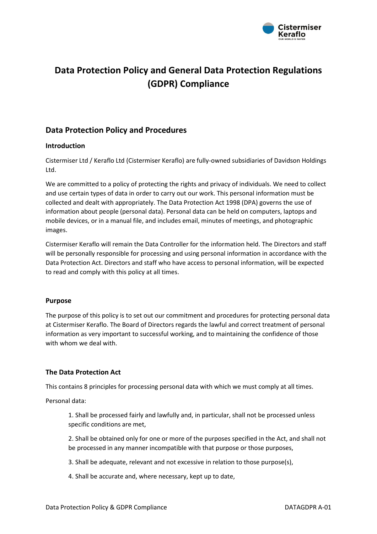

# **Data Protection Policy and General Data Protection Regulations (GDPR) Compliance**

# **Data Protection Policy and Procedures**

## **Introduction**

Cistermiser Ltd / Keraflo Ltd (Cistermiser Keraflo) are fully-owned subsidiaries of Davidson Holdings Ltd.

We are committed to a policy of protecting the rights and privacy of individuals. We need to collect and use certain types of data in order to carry out our work. This personal information must be collected and dealt with appropriately. The Data Protection Act 1998 (DPA) governs the use of information about people (personal data). Personal data can be held on computers, laptops and mobile devices, or in a manual file, and includes email, minutes of meetings, and photographic images.

Cistermiser Keraflo will remain the Data Controller for the information held. The Directors and staff will be personally responsible for processing and using personal information in accordance with the Data Protection Act. Directors and staff who have access to personal information, will be expected to read and comply with this policy at all times.

#### **Purpose**

The purpose of this policy is to set out our commitment and procedures for protecting personal data at Cistermiser Keraflo. The Board of Directors regards the lawful and correct treatment of personal information as very important to successful working, and to maintaining the confidence of those with whom we deal with.

# **The Data Protection Act**

This contains 8 principles for processing personal data with which we must comply at all times.

Personal data:

1. Shall be processed fairly and lawfully and, in particular, shall not be processed unless specific conditions are met,

2. Shall be obtained only for one or more of the purposes specified in the Act, and shall not be processed in any manner incompatible with that purpose or those purposes,

- 3. Shall be adequate, relevant and not excessive in relation to those purpose(s),
- 4. Shall be accurate and, where necessary, kept up to date,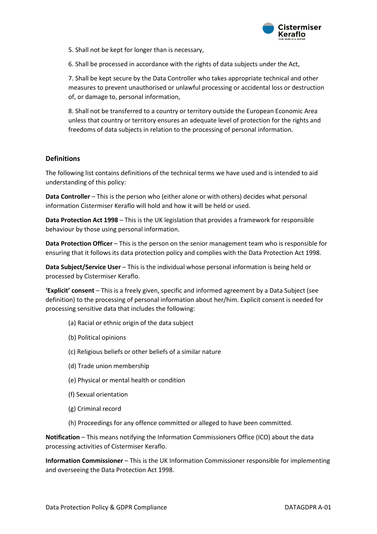

5. Shall not be kept for longer than is necessary,

6. Shall be processed in accordance with the rights of data subjects under the Act,

7. Shall be kept secure by the Data Controller who takes appropriate technical and other measures to prevent unauthorised or unlawful processing or accidental loss or destruction of, or damage to, personal information,

8. Shall not be transferred to a country or territory outside the European Economic Area unless that country or territory ensures an adequate level of protection for the rights and freedoms of data subjects in relation to the processing of personal information.

## **Definitions**

The following list contains definitions of the technical terms we have used and is intended to aid understanding of this policy:

**Data Controller** – This is the person who (either alone or with others) decides what personal information Cistermiser Keraflo will hold and how it will be held or used.

**Data Protection Act 1998** – This is the UK legislation that provides a framework for responsible behaviour by those using personal information.

**Data Protection Officer** – This is the person on the senior management team who is responsible for ensuring that it follows its data protection policy and complies with the Data Protection Act 1998.

**Data Subject/Service User** – This is the individual whose personal information is being held or processed by Cistermiser Keraflo.

**'Explicit' consent** – This is a freely given, specific and informed agreement by a Data Subject (see definition) to the processing of personal information about her/him. Explicit consent is needed for processing sensitive data that includes the following:

- (a) Racial or ethnic origin of the data subject
- (b) Political opinions
- (c) Religious beliefs or other beliefs of a similar nature
- (d) Trade union membership
- (e) Physical or mental health or condition
- (f) Sexual orientation
- (g) Criminal record
- (h) Proceedings for any offence committed or alleged to have been committed.

**Notification** – This means notifying the Information Commissioners Office (ICO) about the data processing activities of Cistermiser Keraflo.

**Information Commissioner** – This is the UK Information Commissioner responsible for implementing and overseeing the Data Protection Act 1998.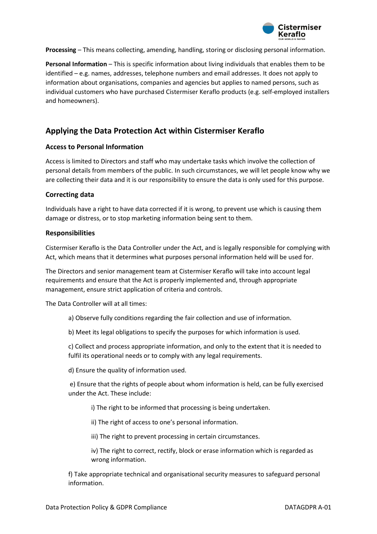

**Processing** – This means collecting, amending, handling, storing or disclosing personal information.

**Personal Information** – This is specific information about living individuals that enables them to be identified – e.g. names, addresses, telephone numbers and email addresses. It does not apply to information about organisations, companies and agencies but applies to named persons, such as individual customers who have purchased Cistermiser Keraflo products (e.g. self-employed installers and homeowners).

# **Applying the Data Protection Act within Cistermiser Keraflo**

#### **Access to Personal Information**

Access is limited to Directors and staff who may undertake tasks which involve the collection of personal details from members of the public. In such circumstances, we will let people know why we are collecting their data and it is our responsibility to ensure the data is only used for this purpose.

#### **Correcting data**

Individuals have a right to have data corrected if it is wrong, to prevent use which is causing them damage or distress, or to stop marketing information being sent to them.

#### **Responsibilities**

Cistermiser Keraflo is the Data Controller under the Act, and is legally responsible for complying with Act, which means that it determines what purposes personal information held will be used for.

The Directors and senior management team at Cistermiser Keraflo will take into account legal requirements and ensure that the Act is properly implemented and, through appropriate management, ensure strict application of criteria and controls.

The Data Controller will at all times:

a) Observe fully conditions regarding the fair collection and use of information.

b) Meet its legal obligations to specify the purposes for which information is used.

c) Collect and process appropriate information, and only to the extent that it is needed to fulfil its operational needs or to comply with any legal requirements.

d) Ensure the quality of information used.

e) Ensure that the rights of people about whom information is held, can be fully exercised under the Act. These include:

i) The right to be informed that processing is being undertaken.

ii) The right of access to one's personal information.

iii) The right to prevent processing in certain circumstances.

iv) The right to correct, rectify, block or erase information which is regarded as wrong information.

f) Take appropriate technical and organisational security measures to safeguard personal information.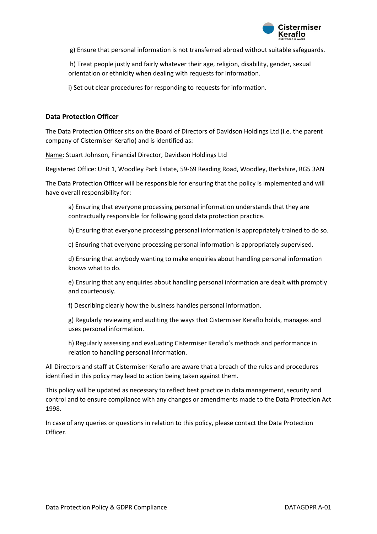

g) Ensure that personal information is not transferred abroad without suitable safeguards.

h) Treat people justly and fairly whatever their age, religion, disability, gender, sexual orientation or ethnicity when dealing with requests for information.

i) Set out clear procedures for responding to requests for information.

#### **Data Protection Officer**

The Data Protection Officer sits on the Board of Directors of Davidson Holdings Ltd (i.e. the parent company of Cistermiser Keraflo) and is identified as:

Name: Stuart Johnson, Financial Director, Davidson Holdings Ltd

Registered Office: Unit 1, Woodley Park Estate, 59-69 Reading Road, Woodley, Berkshire, RG5 3AN

The Data Protection Officer will be responsible for ensuring that the policy is implemented and will have overall responsibility for:

a) Ensuring that everyone processing personal information understands that they are contractually responsible for following good data protection practice.

b) Ensuring that everyone processing personal information is appropriately trained to do so.

c) Ensuring that everyone processing personal information is appropriately supervised.

d) Ensuring that anybody wanting to make enquiries about handling personal information knows what to do.

e) Ensuring that any enquiries about handling personal information are dealt with promptly and courteously.

f) Describing clearly how the business handles personal information.

g) Regularly reviewing and auditing the ways that Cistermiser Keraflo holds, manages and uses personal information.

h) Regularly assessing and evaluating Cistermiser Keraflo's methods and performance in relation to handling personal information.

All Directors and staff at Cistermiser Keraflo are aware that a breach of the rules and procedures identified in this policy may lead to action being taken against them.

This policy will be updated as necessary to reflect best practice in data management, security and control and to ensure compliance with any changes or amendments made to the Data Protection Act 1998.

In case of any queries or questions in relation to this policy, please contact the Data Protection Officer.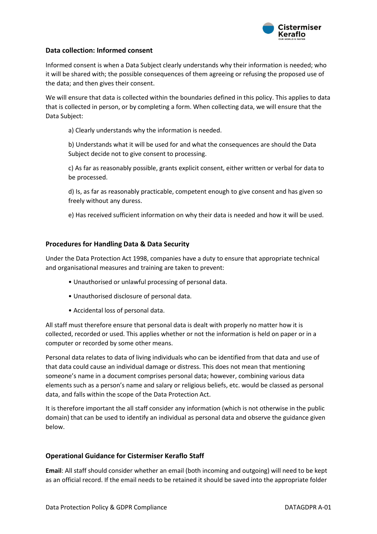

# **Data collection: Informed consent**

Informed consent is when a Data Subject clearly understands why their information is needed; who it will be shared with; the possible consequences of them agreeing or refusing the proposed use of the data; and then gives their consent.

We will ensure that data is collected within the boundaries defined in this policy. This applies to data that is collected in person, or by completing a form. When collecting data, we will ensure that the Data Subject:

a) Clearly understands why the information is needed.

b) Understands what it will be used for and what the consequences are should the Data Subject decide not to give consent to processing.

c) As far as reasonably possible, grants explicit consent, either written or verbal for data to be processed.

d) Is, as far as reasonably practicable, competent enough to give consent and has given so freely without any duress.

e) Has received sufficient information on why their data is needed and how it will be used.

## **Procedures for Handling Data & Data Security**

Under the Data Protection Act 1998, companies have a duty to ensure that appropriate technical and organisational measures and training are taken to prevent:

- Unauthorised or unlawful processing of personal data.
- Unauthorised disclosure of personal data.
- Accidental loss of personal data.

All staff must therefore ensure that personal data is dealt with properly no matter how it is collected, recorded or used. This applies whether or not the information is held on paper or in a computer or recorded by some other means.

Personal data relates to data of living individuals who can be identified from that data and use of that data could cause an individual damage or distress. This does not mean that mentioning someone's name in a document comprises personal data; however, combining various data elements such as a person's name and salary or religious beliefs, etc. would be classed as personal data, and falls within the scope of the Data Protection Act.

It is therefore important the all staff consider any information (which is not otherwise in the public domain) that can be used to identify an individual as personal data and observe the guidance given below.

#### **Operational Guidance for Cistermiser Keraflo Staff**

**Email**: All staff should consider whether an email (both incoming and outgoing) will need to be kept as an official record. If the email needs to be retained it should be saved into the appropriate folder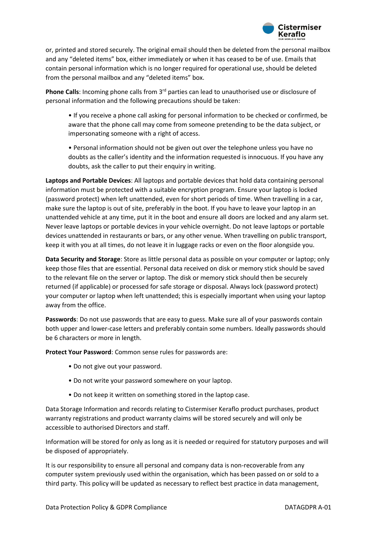

or, printed and stored securely. The original email should then be deleted from the personal mailbox and any "deleted items" box, either immediately or when it has ceased to be of use. Emails that contain personal information which is no longer required for operational use, should be deleted from the personal mailbox and any "deleted items" box.

**Phone Calls**: Incoming phone calls from 3<sup>rd</sup> parties can lead to unauthorised use or disclosure of personal information and the following precautions should be taken:

• If you receive a phone call asking for personal information to be checked or confirmed, be aware that the phone call may come from someone pretending to be the data subject, or impersonating someone with a right of access.

• Personal information should not be given out over the telephone unless you have no doubts as the caller's identity and the information requested is innocuous. If you have any doubts, ask the caller to put their enquiry in writing.

**Laptops and Portable Devices**: All laptops and portable devices that hold data containing personal information must be protected with a suitable encryption program. Ensure your laptop is locked (password protect) when left unattended, even for short periods of time. When travelling in a car, make sure the laptop is out of site, preferably in the boot. If you have to leave your laptop in an unattended vehicle at any time, put it in the boot and ensure all doors are locked and any alarm set. Never leave laptops or portable devices in your vehicle overnight. Do not leave laptops or portable devices unattended in restaurants or bars, or any other venue. When travelling on public transport, keep it with you at all times, do not leave it in luggage racks or even on the floor alongside you.

**Data Security and Storage**: Store as little personal data as possible on your computer or laptop; only keep those files that are essential. Personal data received on disk or memory stick should be saved to the relevant file on the server or laptop. The disk or memory stick should then be securely returned (if applicable) or processed for safe storage or disposal. Always lock (password protect) your computer or laptop when left unattended; this is especially important when using your laptop away from the office.

**Passwords**: Do not use passwords that are easy to guess. Make sure all of your passwords contain both upper and lower-case letters and preferably contain some numbers. Ideally passwords should be 6 characters or more in length.

**Protect Your Password**: Common sense rules for passwords are:

- Do not give out your password.
- Do not write your password somewhere on your laptop.
- Do not keep it written on something stored in the laptop case.

Data Storage Information and records relating to Cistermiser Keraflo product purchases, product warranty registrations and product warranty claims will be stored securely and will only be accessible to authorised Directors and staff.

Information will be stored for only as long as it is needed or required for statutory purposes and will be disposed of appropriately.

It is our responsibility to ensure all personal and company data is non-recoverable from any computer system previously used within the organisation, which has been passed on or sold to a third party. This policy will be updated as necessary to reflect best practice in data management,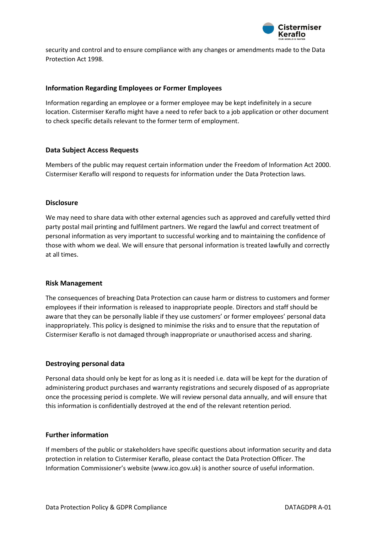

security and control and to ensure compliance with any changes or amendments made to the Data Protection Act 1998.

#### **Information Regarding Employees or Former Employees**

Information regarding an employee or a former employee may be kept indefinitely in a secure location. Cistermiser Keraflo might have a need to refer back to a job application or other document to check specific details relevant to the former term of employment.

## **Data Subject Access Requests**

Members of the public may request certain information under the Freedom of Information Act 2000. Cistermiser Keraflo will respond to requests for information under the Data Protection laws.

#### **Disclosure**

We may need to share data with other external agencies such as approved and carefully vetted third party postal mail printing and fulfilment partners. We regard the lawful and correct treatment of personal information as very important to successful working and to maintaining the confidence of those with whom we deal. We will ensure that personal information is treated lawfully and correctly at all times.

#### **Risk Management**

The consequences of breaching Data Protection can cause harm or distress to customers and former employees if their information is released to inappropriate people. Directors and staff should be aware that they can be personally liable if they use customers' or former employees' personal data inappropriately. This policy is designed to minimise the risks and to ensure that the reputation of Cistermiser Keraflo is not damaged through inappropriate or unauthorised access and sharing.

#### **Destroying personal data**

Personal data should only be kept for as long as it is needed i.e. data will be kept for the duration of administering product purchases and warranty registrations and securely disposed of as appropriate once the processing period is complete. We will review personal data annually, and will ensure that this information is confidentially destroyed at the end of the relevant retention period.

#### **Further information**

If members of the public or stakeholders have specific questions about information security and data protection in relation to Cistermiser Keraflo, please contact the Data Protection Officer. The Information Commissioner's website (www.ico.gov.uk) is another source of useful information.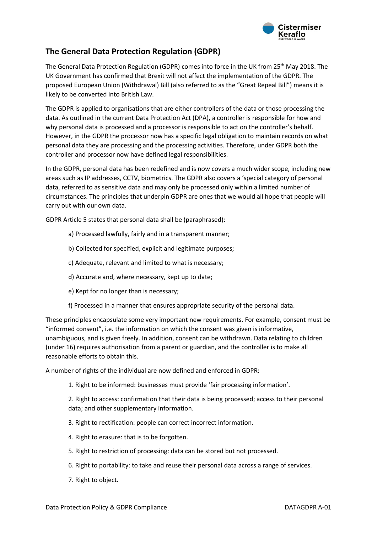

# **The General Data Protection Regulation (GDPR)**

The General Data Protection Regulation (GDPR) comes into force in the UK from 25th May 2018. The UK Government has confirmed that Brexit will not affect the implementation of the GDPR. The proposed European Union (Withdrawal) Bill (also referred to as the "Great Repeal Bill") means it is likely to be converted into British Law.

The GDPR is applied to organisations that are either controllers of the data or those processing the data. As outlined in the current Data Protection Act (DPA), a controller is responsible for how and why personal data is processed and a processor is responsible to act on the controller's behalf. However, in the GDPR the processor now has a specific legal obligation to maintain records on what personal data they are processing and the processing activities. Therefore, under GDPR both the controller and processor now have defined legal responsibilities.

In the GDPR, personal data has been redefined and is now covers a much wider scope, including new areas such as IP addresses, CCTV, biometrics. The GDPR also covers a 'special category of personal data, referred to as sensitive data and may only be processed only within a limited number of circumstances. The principles that underpin GDPR are ones that we would all hope that people will carry out with our own data.

GDPR Article 5 states that personal data shall be (paraphrased):

- a) Processed lawfully, fairly and in a transparent manner;
- b) Collected for specified, explicit and legitimate purposes;
- c) Adequate, relevant and limited to what is necessary;
- d) Accurate and, where necessary, kept up to date;
- e) Kept for no longer than is necessary;
- f) Processed in a manner that ensures appropriate security of the personal data.

These principles encapsulate some very important new requirements. For example, consent must be "informed consent", i.e. the information on which the consent was given is informative, unambiguous, and is given freely. In addition, consent can be withdrawn. Data relating to children (under 16) requires authorisation from a parent or guardian, and the controller is to make all reasonable efforts to obtain this.

A number of rights of the individual are now defined and enforced in GDPR:

1. Right to be informed: businesses must provide 'fair processing information'.

2. Right to access: confirmation that their data is being processed; access to their personal data; and other supplementary information.

- 3. Right to rectification: people can correct incorrect information.
- 4. Right to erasure: that is to be forgotten.
- 5. Right to restriction of processing: data can be stored but not processed.
- 6. Right to portability: to take and reuse their personal data across a range of services.
- 7. Right to object.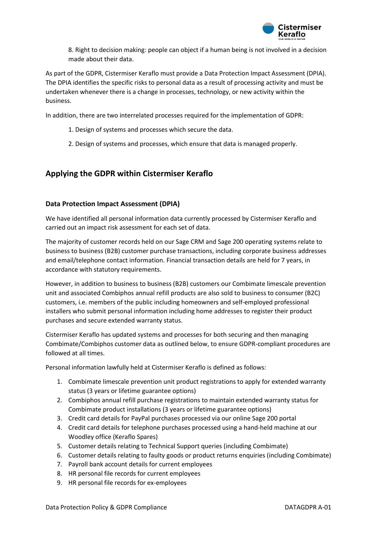

8. Right to decision making: people can object if a human being is not involved in a decision made about their data.

As part of the GDPR, Cistermiser Keraflo must provide a Data Protection Impact Assessment (DPIA). The DPIA identifies the specific risks to personal data as a result of processing activity and must be undertaken whenever there is a change in processes, technology, or new activity within the business.

In addition, there are two interrelated processes required for the implementation of GDPR:

- 1. Design of systems and processes which secure the data.
- 2. Design of systems and processes, which ensure that data is managed properly.

# **Applying the GDPR within Cistermiser Keraflo**

## **Data Protection Impact Assessment (DPIA)**

We have identified all personal information data currently processed by Cistermiser Keraflo and carried out an impact risk assessment for each set of data.

The majority of customer records held on our Sage CRM and Sage 200 operating systems relate to business to business (B2B) customer purchase transactions, including corporate business addresses and email/telephone contact information. Financial transaction details are held for 7 years, in accordance with statutory requirements.

However, in addition to business to business (B2B) customers our Combimate limescale prevention unit and associated Combiphos annual refill products are also sold to business to consumer (B2C) customers, i.e. members of the public including homeowners and self-employed professional installers who submit personal information including home addresses to register their product purchases and secure extended warranty status.

Cistermiser Keraflo has updated systems and processes for both securing and then managing Combimate/Combiphos customer data as outlined below, to ensure GDPR-compliant procedures are followed at all times.

Personal information lawfully held at Cistermiser Keraflo is defined as follows:

- 1. Combimate limescale prevention unit product registrations to apply for extended warranty status (3 years or lifetime guarantee options)
- 2. Combiphos annual refill purchase registrations to maintain extended warranty status for Combimate product installations (3 years or lifetime guarantee options)
- 3. Credit card details for PayPal purchases processed via our online Sage 200 portal
- 4. Credit card details for telephone purchases processed using a hand-held machine at our Woodley office (Keraflo Spares)
- 5. Customer details relating to Technical Support queries (including Combimate)
- 6. Customer details relating to faulty goods or product returns enquiries (including Combimate)
- 7. Payroll bank account details for current employees
- 8. HR personal file records for current employees
- 9. HR personal file records for ex-employees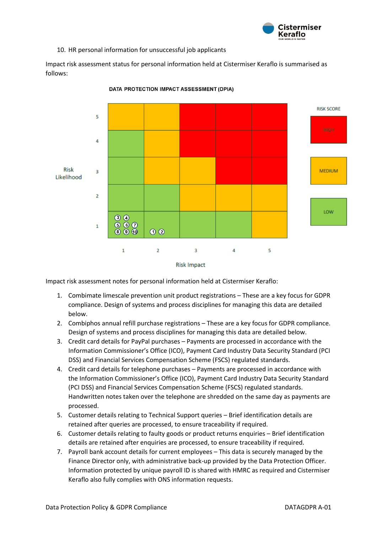

10. HR personal information for unsuccessful job applicants

Impact risk assessment status for personal information held at Cistermiser Keraflo is summarised as follows:



DATA PROTECTION IMPACT ASSESSMENT (DPIA)

**Risk Impact** 

Impact risk assessment notes for personal information held at Cistermiser Keraflo:

- 1. Combimate limescale prevention unit product registrations These are a key focus for GDPR compliance. Design of systems and process disciplines for managing this data are detailed below.
- 2. Combiphos annual refill purchase registrations These are a key focus for GDPR compliance. Design of systems and process disciplines for managing this data are detailed below.
- 3. Credit card details for PayPal purchases Payments are processed in accordance with the Information Commissioner's Office (ICO), Payment Card Industry Data Security Standard (PCI DSS) and Financial Services Compensation Scheme (FSCS) regulated standards.
- 4. Credit card details for telephone purchases Payments are processed in accordance with the Information Commissioner's Office (ICO), Payment Card Industry Data Security Standard (PCI DSS) and Financial Services Compensation Scheme (FSCS) regulated standards. Handwritten notes taken over the telephone are shredded on the same day as payments are processed.
- 5. Customer details relating to Technical Support queries Brief identification details are retained after queries are processed, to ensure traceability if required.
- 6. Customer details relating to faulty goods or product returns enquiries Brief identification details are retained after enquiries are processed, to ensure traceability if required.
- 7. Payroll bank account details for current employees This data is securely managed by the Finance Director only, with administrative back-up provided by the Data Protection Officer. Information protected by unique payroll ID is shared with HMRC as required and Cistermiser Keraflo also fully complies with ONS information requests.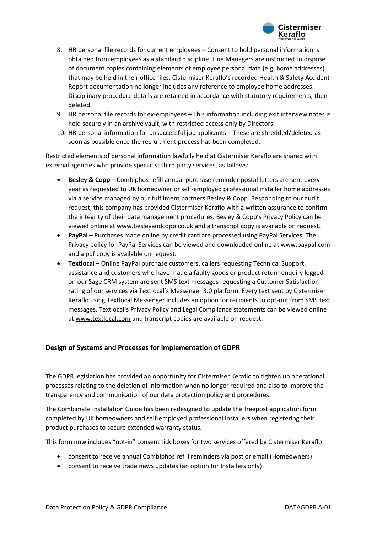

- 8. HR personal file records for current employees Consent to hold personal information is obtained from employees as a standard discipline. Line Managers are instructed to dispose of document copies containing elements of employee personal data (e.g. home addresses) that may be held in their office files. Cistermiser Keraflo's recorded Health & Safety Accident Report documentation no longer includes any reference to employee home addresses. Disciplinary procedure details are retained in accordance with statutory requirements, then deleted.
- 9. HR personal file records for ex-employees This information including exit interview notes is held securely in an archive vault, with restricted access only by Directors.
- 10. HR personal information for unsuccessful job applicants These are shredded/deleted as soon as possible once the recruitment process has been completed.

Restricted elements of personal information lawfully held at Cistermiser Keraflo are shared with external agencies who provide specialist third party services, as follows:

- **Besley & Copp** Combiphos refill annual purchase reminder postal letters are sent every year as requested to UK homeowner or self-employed professional installer home addresses via a service managed by our fulfilment partners Besley & Copp. Responding to our audit request, this company has provided Cistermiser Keraflo with a written assurance to confirm the integrity of their data management procedures. Besley & Copp's Privacy Policy can be viewed online a[t www.besleyandcopp.co.uk](http://www.besleyandcopp.co.uk/) and a transcript copy is available on request.
- **PayPal**  Purchases made online by credit card are processed using PayPal Services. The Privacy policy for PayPal Services can be viewed and downloaded online at [www.paypal.com](http://www.paypal.com/) and a pdf copy is available on request.
- **Textlocal** Online PayPal purchase customers, callers requesting Technical Support assistance and customers who have made a faulty goods or product return enquiry logged on our Sage CRM system are sent SMS text messages requesting a Customer Satisfaction rating of our services via Textlocal's Messenger 3.0 platform. Every text sent by Cistermiser Keraflo using Textlocal Messenger includes an option for recipients to opt-out from SMS text messages. Textlocal's Privacy Policy and Legal Compliance statements can be viewed online a[t www.textlocal.com](http://www.textlocal.com/) and transcript copies are available on request.

#### **Design of Systems and Processes for implementation of GDPR**

The GDPR legislation has provided an opportunity for Cistermiser Keraflo to tighten up operational processes relating to the deletion of information when no longer required and also to improve the transparency and communication of our data protection policy and procedures.

The Combimate Installation Guide has been redesigned to update the freepost application form completed by UK homeowners and self-employed professional installers when registering their product purchases to secure extended warranty status.

This form now includes "opt-in" consent tick boxes for two services offered by Cistermiser Keraflo:

- consent to receive annual Combiphos refill reminders via post or email (Homeowners)
- consent to receive trade news updates (an option for Installers only)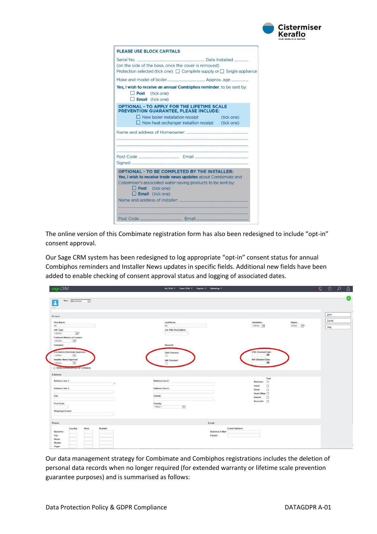

| <b>PLEASE USE BLOCK CAPITALS</b>           |                                                                                                                                                                                       |            |
|--------------------------------------------|---------------------------------------------------------------------------------------------------------------------------------------------------------------------------------------|------------|
|                                            | (on the side of the base, once the cover is removed)<br>Protection selected (tick one): $\Box$ Complete supply or $\Box$ Single appliance                                             |            |
|                                            |                                                                                                                                                                                       |            |
| $\Box$ Post (tick one)<br>Email (tick one) | Yes, I wish to receive an annual Combiphos reminder, to be sent by:                                                                                                                   |            |
|                                            | <b>OPTIONAL - TO APPLY FOR THE LIFETIME SCALE</b><br>PREVENTION GUARANTEE, PLEASE INCLUDE:                                                                                            |            |
|                                            | $\Box$ New boiler installation receipt<br>$\Box$ New heat exchanger installion receipt (tick one)                                                                                     | (tick one) |
|                                            |                                                                                                                                                                                       |            |
| Post (tick one)<br>$\Box$ Email (tick one) | <b>OPTIONAL - TO BE COMPLETED BY THE INSTALLER:</b><br>Yes, I wish to receive trade news updates about Combimate and<br>Cistermiser's associated water-saving products to be sent by: |            |
|                                            |                                                                                                                                                                                       |            |
|                                            |                                                                                                                                                                                       |            |

The online version of this Combimate registration form has also been redesigned to include "opt-in" consent approval.

Our Sage CRM system has been redesigned to log appropriate "opt-in" consent status for annual Combiphos reminders and Installer News updates in specific fields. Additional new fields have been added to enable checking of consent approval status and logging of associated dates.

| <b>CRM</b>                                                                               | My CRM * Team CRM * Reports * Marketing * |                                             |                     | $D$ $O$ $O$ $T$ |
|------------------------------------------------------------------------------------------|-------------------------------------------|---------------------------------------------|---------------------|-----------------|
| $\overline{\mathbf{y}}$<br>New: New Person<br>Å<br>$-$                                   |                                           |                                             |                     |                 |
| Person                                                                                   |                                           |                                             |                     | $S$ ave         |
| First Name:<br>$_{dd}$                                                                   | Last Name:<br>dd                          | Salutation:<br>$-None--$                    | Status:<br>Active v | Cancel          |
| Job Type:<br> v <br>-None-<br>Preferred Method of Contact:<br>-None-<br>$\vee$           | <b>Job Title Description:</b>             |                                             |                     | Helg            |
| Company:                                                                                 | <b>Account:</b>                           |                                             |                     |                 |
| Combiphos Reminder Approval:<br>$-None-$<br>$\check{ }$<br>Installer News Approval:      | CRA Checked:<br>□<br><b>INA Checked:</b>  | CRA Checked Date:<br>箘<br>INA Checked Date: |                     |                 |
| $\overline{\mathsf{v}}$<br>-None-<br>Set as detaun person for Company                    | $\Box$                                    | 箘                                           |                     |                 |
| Address                                                                                  |                                           | Type                                        |                     |                 |
| Address Line 1:                                                                          | Address Line 2:                           | $\Box$<br><b>Business</b>                   |                     |                 |
| Address Line 3:                                                                          | Address Line 4:                           | $\Box$<br>Home<br>$\Box$<br>Email           |                     |                 |
|                                                                                          |                                           | Head Office <sup>[]</sup>                   |                     |                 |
| City:                                                                                    | County:                                   |                                             |                     |                 |
|                                                                                          |                                           | $\Box$<br>Branch                            |                     |                 |
|                                                                                          |                                           | Accounts $\square$                          |                     |                 |
|                                                                                          | Country:<br>-None-                        |                                             |                     |                 |
|                                                                                          | $\overline{\mathsf{v}}$                   |                                             |                     |                 |
|                                                                                          | Email                                     |                                             |                     |                 |
| Number:<br>Country:<br>Area:                                                             | <b>Business E-Mail:</b>                   | E-mail Address:                             |                     |                 |
|                                                                                          | Private:                                  |                                             |                     |                 |
| Post Code:<br><b>Shipping Contact:</b><br>Phone<br>Business:<br>Fax:<br>Home:<br>Mobile: |                                           |                                             |                     |                 |

Our data management strategy for Combimate and Combiphos registrations includes the deletion of personal data records when no longer required (for extended warranty or lifetime scale prevention guarantee purposes) and is summarised as follows: